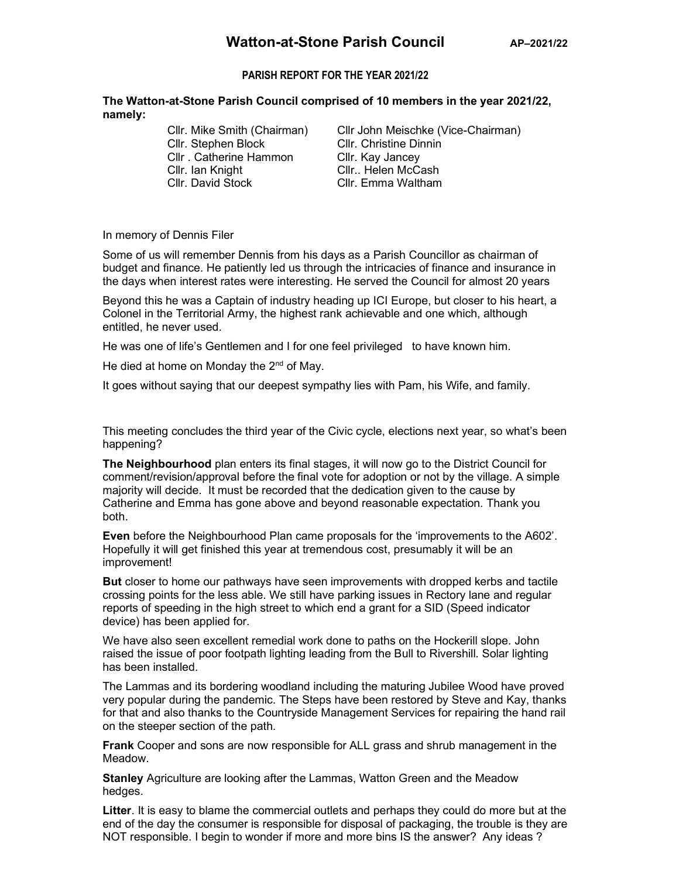## PARISH REPORT FOR THE YEAR 2021/22

The Watton-at-Stone Parish Council comprised of 10 members in the year 2021/22, namely:

> Cllr. Stephen Block Cllr. Christine Dinnin Cllr . Catherine Hammon Cllr. Kay Jancey Cllr. Ian Knight Cllr.. Helen McCash

Cllr. Mike Smith (Chairman) Cllr John Meischke (Vice-Chairman) Cllr. Emma Waltham

In memory of Dennis Filer

Some of us will remember Dennis from his days as a Parish Councillor as chairman of budget and finance. He patiently led us through the intricacies of finance and insurance in the days when interest rates were interesting. He served the Council for almost 20 years

Beyond this he was a Captain of industry heading up ICI Europe, but closer to his heart, a Colonel in the Territorial Army, the highest rank achievable and one which, although entitled, he never used.

He was one of life's Gentlemen and I for one feel privileged to have known him.

He died at home on Monday the 2<sup>nd</sup> of May.

It goes without saying that our deepest sympathy lies with Pam, his Wife, and family.

This meeting concludes the third year of the Civic cycle, elections next year, so what's been happening?

The Neighbourhood plan enters its final stages, it will now go to the District Council for comment/revision/approval before the final vote for adoption or not by the village. A simple majority will decide. It must be recorded that the dedication given to the cause by Catherine and Emma has gone above and beyond reasonable expectation. Thank you both.

Even before the Neighbourhood Plan came proposals for the 'improvements to the A602'. Hopefully it will get finished this year at tremendous cost, presumably it will be an improvement!

**But** closer to home our pathways have seen improvements with dropped kerbs and tactile crossing points for the less able. We still have parking issues in Rectory lane and regular reports of speeding in the high street to which end a grant for a SID (Speed indicator device) has been applied for.

We have also seen excellent remedial work done to paths on the Hockerill slope. John raised the issue of poor footpath lighting leading from the Bull to Rivershill. Solar lighting has been installed.

The Lammas and its bordering woodland including the maturing Jubilee Wood have proved very popular during the pandemic. The Steps have been restored by Steve and Kay, thanks for that and also thanks to the Countryside Management Services for repairing the hand rail on the steeper section of the path.

Frank Cooper and sons are now responsible for ALL grass and shrub management in the Meadow.

Stanley Agriculture are looking after the Lammas, Watton Green and the Meadow hedges.

Litter. It is easy to blame the commercial outlets and perhaps they could do more but at the end of the day the consumer is responsible for disposal of packaging, the trouble is they are NOT responsible. I begin to wonder if more and more bins IS the answer? Any ideas ?